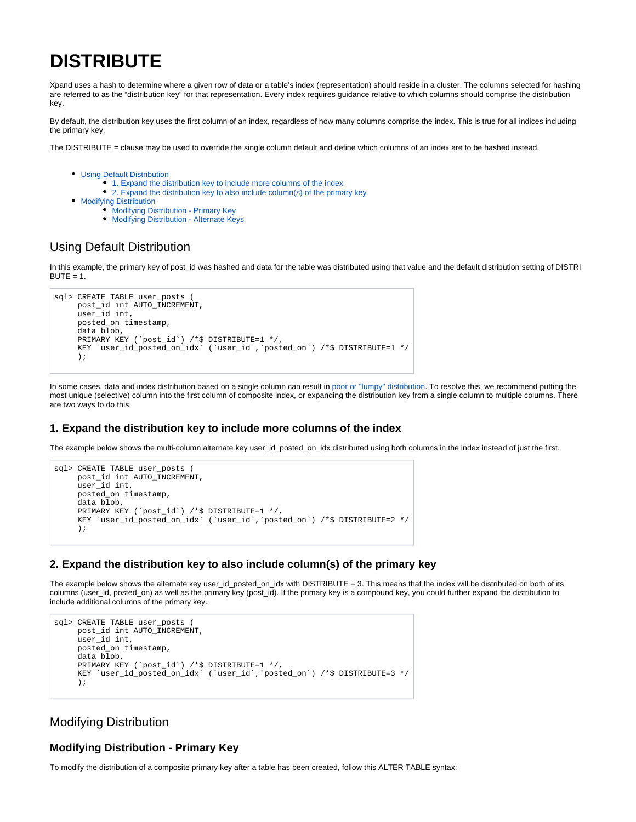# **DISTRIBUTE**

Xpand uses a hash to determine where a given row of data or a table's index (representation) should reside in a cluster. The columns selected for hashing are referred to as the "distribution key" for that representation. Every index requires guidance relative to which columns should comprise the distribution key.

By default, the distribution key uses the first column of an index, regardless of how many columns comprise the index. This is true for all indices including the primary key.

The DISTRIBUTE = clause may be used to override the single column default and define which columns of an index are to be hashed instead.

- [Using Default Distribution](#page-0-0) 
	- [1. Expand the distribution key to include more columns of the index](#page-0-1)
	- [2. Expand the distribution key to also include column\(s\) of the primary key](#page-0-2)
- **[Modifying Distribution](#page-0-3)** 
	- **[Modifying Distribution Primary Key](#page-0-4)**
	- [Modifying Distribution Alternate Keys](#page-1-0)

# <span id="page-0-0"></span>Using Default Distribution

In this example, the primary key of post\_id was hashed and data for the table was distributed using that value and the default distribution setting of DISTRI  $BUTE = 1.$ 

```
sql> CREATE TABLE user posts (
      post_id int AUTO_INCREMENT, 
      user_id int, 
      posted_on timestamp, 
      data blob, 
      PRIMARY KEY (`post_id`) /*$ DISTRIBUTE=1 */,
      KEY `user_id_posted_on_idx` (`user_id`,`posted_on`) /*$ DISTRIBUTE=1 */
      );
```
In some cases, data and index distribution based on a single column can result in [poor or "lumpy" distribution](https://docs.clustrix.com/display/CLXDOC/Rebalancer#Rebalancer-Poor_Distribution). To resolve this, we recommend putting the most unique (selective) column into the first column of composite index, or expanding the distribution key from a single column to multiple columns. There are two ways to do this.

#### <span id="page-0-1"></span>**1. Expand the distribution key to include more columns of the index**

The example below shows the multi-column alternate key user\_id\_posted\_on\_idx distributed using both columns in the index instead of just the first.

```
sql> CREATE TABLE user_posts (
      post_id int AUTO_INCREMENT, 
     user_id int,
      posted_on timestamp, 
      data blob, 
      PRIMARY KEY (`post_id`) /*$ DISTRIBUTE=1 */,
      KEY `user_id_posted_on_idx` (`user_id`,`posted_on`) /*$ DISTRIBUTE=2 */
      );
```
#### <span id="page-0-2"></span>**2. Expand the distribution key to also include column(s) of the primary key**

The example below shows the alternate key user\_id\_posted\_on\_idx with DISTRIBUTE = 3. This means that the index will be distributed on both of its columns (user\_id, posted\_on) as well as the primary key (post\_id). If the primary key is a compound key, you could further expand the distribution to include additional columns of the primary key.

```
sql> CREATE TABLE user_posts (
      post_id int AUTO_INCREMENT, 
     user id int,
      posted_on timestamp, 
      data blob, 
      PRIMARY KEY (`post_id`) /*$ DISTRIBUTE=1 */,
      KEY `user_id_posted_on_idx` (`user_id`,`posted_on`) /*$ DISTRIBUTE=3 */
      );
```
## <span id="page-0-3"></span>Modifying Distribution

### <span id="page-0-4"></span>**Modifying Distribution - Primary Key**

To modify the distribution of a composite primary key after a table has been created, follow this ALTER TABLE syntax: